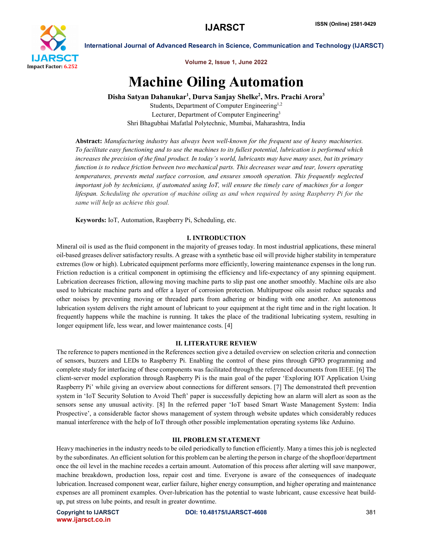

Volume 2, Issue 1, June 2022

# Machine Oiling Automation

Disha Satyan Dahanukar<sup>1</sup>, Durva Sanjay Shelke<sup>2</sup>, Mrs. Prachi Arora<sup>3</sup> Students, Department of Computer Engineering<sup>1,2</sup>

Lecturer, Department of Computer Engineering<sup>3</sup> Shri Bhagubhai Mafatlal Polytechnic, Mumbai, Maharashtra, India

Abstract: *Manufacturing industry has always been well-known for the frequent use of heavy machineries. To facilitate easy functioning and to use the machines to its fullest potential, lubrication is performed which increases the precision of the final product. In today's world, lubricants may have many uses, but its primary function is to reduce friction between two mechanical parts. This decreases wear and tear, lowers operating temperatures, prevents metal surface corrosion, and ensures smooth operation. This frequently neglected important job by technicians, if automated using IoT, will ensure the timely care of machines for a longer lifespan. Scheduling the operation of machine oiling as and when required by using Raspberry Pi for the same will help us achieve this goal.*

Keywords: IoT, Automation, Raspberry Pi, Scheduling, etc.

# I. INTRODUCTION

Mineral oil is used as the fluid component in the majority of greases today. In most industrial applications, these mineral oil-based greases deliver satisfactory results. A grease with a synthetic base oil will provide higher stability in temperature extremes (low or high). Lubricated equipment performs more efficiently, lowering maintenance expenses in the long run. Friction reduction is a critical component in optimising the efficiency and life-expectancy of any spinning equipment. Lubrication decreases friction, allowing moving machine parts to slip past one another smoothly. Machine oils are also used to lubricate machine parts and offer a layer of corrosion protection. Multipurpose oils assist reduce squeaks and other noises by preventing moving or threaded parts from adhering or binding with one another. An autonomous lubrication system delivers the right amount of lubricant to your equipment at the right time and in the right location. It frequently happens while the machine is running. It takes the place of the traditional lubricating system, resulting in longer equipment life, less wear, and lower maintenance costs. [4]

### II. LITERATURE REVIEW

The reference to papers mentioned in the References section give a detailed overview on selection criteria and connection of sensors, buzzers and LEDs to Raspberry Pi. Enabling the control of these pins through GPIO programming and complete study for interfacing of these components was facilitated through the referenced documents from IEEE. [6] The client-server model exploration through Raspberry Pi is the main goal of the paper 'Exploring IOT Application Using Raspberry Pi' while giving an overview about connections for different sensors. [7] The demonstrated theft prevention system in 'IoT Security Solution to Avoid Theft' paper is successfully depicting how an alarm will alert as soon as the sensors sense any unusual activity. [8] In the referred paper 'IoT based Smart Waste Management System: India Prospective', a considerable factor shows management of system through website updates which considerably reduces manual interference with the help of IoT through other possible implementation operating systems like Arduino.

# III. PROBLEM STATEMENT

Heavy machineries in the industry needs to be oiled periodically to function efficiently. Many a times this job is neglected by the subordinates. An efficient solution for this problem can be alerting the person in charge of the shopfloor/department once the oil level in the machine recedes a certain amount. Automation of this process after alerting will save manpower, machine breakdown, production loss, repair cost and time. Everyone is aware of the consequences of inadequate lubrication. Increased component wear, earlier failure, higher energy consumption, and higher operating and maintenance expenses are all prominent examples. Over-lubrication has the potential to waste lubricant, cause excessive heat buildup, put stress on lube points, and result in greater downtime.

www.ijarsct.co.in

Copyright to IJARSCT **DOI: 10.48175/IJARSCT-4608** 381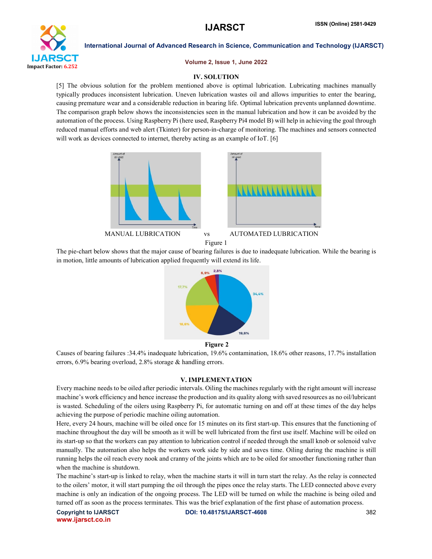

Volume 2, Issue 1, June 2022

# IV. SOLUTION

[5] The obvious solution for the problem mentioned above is optimal lubrication. Lubricating machines manually typically produces inconsistent lubrication. Uneven lubrication wastes oil and allows impurities to enter the bearing, causing premature wear and a considerable reduction in bearing life. Optimal lubrication prevents unplanned downtime. The comparison graph below shows the inconsistencies seen in the manual lubrication and how it can be avoided by the automation of the process. Using Raspberry Pi (here used, Raspberry Pi4 model B) will help in achieving the goal through reduced manual efforts and web alert (Tkinter) for person-in-charge of monitoring. The machines and sensors connected will work as devices connected to internet, thereby acting as an example of IoT. [6]



The pie-chart below shows that the major cause of bearing failures is due to inadequate lubrication. While the bearing is in motion, little amounts of lubrication applied frequently will extend its life.



Figure 2

Causes of bearing failures :34.4% inadequate lubrication, 19.6% contamination, 18.6% other reasons, 17.7% installation errors, 6.9% bearing overload, 2.8% storage & handling errors.

### V. IMPLEMENTATION

Every machine needs to be oiled after periodic intervals. Oiling the machines regularly with the right amount will increase machine's work efficiency and hence increase the production and its quality along with saved resources as no oil/lubricant is wasted. Scheduling of the oilers using Raspberry Pi, for automatic turning on and off at these times of the day helps achieving the purpose of periodic machine oiling automation.

Here, every 24 hours, machine will be oiled once for 15 minutes on its first start-up. This ensures that the functioning of machine throughout the day will be smooth as it will be well lubricated from the first use itself. Machine will be oiled on its start-up so that the workers can pay attention to lubrication control if needed through the small knob or solenoid valve manually. The automation also helps the workers work side by side and saves time. Oiling during the machine is still running helps the oil reach every nook and cranny of the joints which are to be oiled for smoother functioning rather than when the machine is shutdown.

The machine's start-up is linked to relay, when the machine starts it will in turn start the relay. As the relay is connected to the oilers' motor, it will start pumping the oil through the pipes once the relay starts. The LED connected above every machine is only an indication of the ongoing process. The LED will be turned on while the machine is being oiled and turned off as soon as the process terminates. This was the brief explanation of the first phase of automation process.

www.ijarsct.co.in

Copyright to IJARSCT **DOI: 10.48175/IJARSCT-4608** 382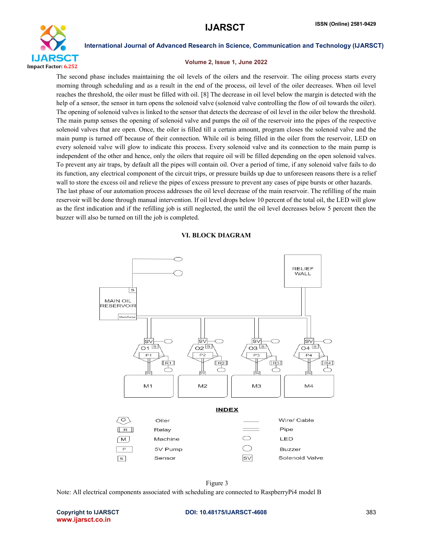

### Volume 2, Issue 1, June 2022

The second phase includes maintaining the oil levels of the oilers and the reservoir. The oiling process starts every morning through scheduling and as a result in the end of the process, oil level of the oiler decreases. When oil level reaches the threshold, the oiler must be filled with oil. [8] The decrease in oil level below the margin is detected with the help of a sensor, the sensor in turn opens the solenoid valve (solenoid valve controlling the flow of oil towards the oiler). The opening of solenoid valves is linked to the sensor that detects the decrease of oil level in the oiler below the threshold. The main pump senses the opening of solenoid valve and pumps the oil of the reservoir into the pipes of the respective solenoid valves that are open. Once, the oiler is filled till a certain amount, program closes the solenoid valve and the main pump is turned off because of their connection. While oil is being filled in the oiler from the reservoir, LED on every solenoid valve will glow to indicate this process. Every solenoid valve and its connection to the main pump is independent of the other and hence, only the oilers that require oil will be filled depending on the open solenoid valves. To prevent any air traps, by default all the pipes will contain oil. Over a period of time, if any solenoid valve fails to do its function, any electrical component of the circuit trips, or pressure builds up due to unforeseen reasons there is a relief wall to store the excess oil and relieve the pipes of excess pressure to prevent any cases of pipe bursts or other hazards. The last phase of our automation process addresses the oil level decrease of the main reservoir. The refilling of the main reservoir will be done through manual intervention. If oil level drops below 10 percent of the total oil, the LED will glow as the first indication and if the refilling job is still neglected, the until the oil level decreases below 5 percent then the buzzer will also be turned on till the job is completed.





Figure 3 Note: All electrical components associated with scheduling are connected to RaspberryPi4 model B

www.ijarsct.co.in

#### Copyright to IJARSCT **DOI: 10.48175/IJARSCT-4608** 383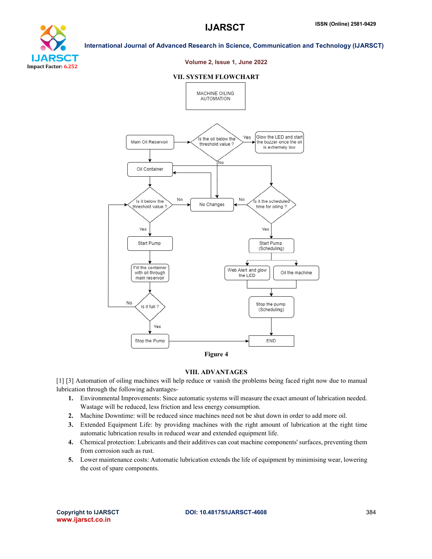



#### Volume 2, Issue 1, June 2022

#### VII. SYSTEM FLOWCHART



### VIII. ADVANTAGES

[1] [3] Automation of oiling machines will help reduce or vanish the problems being faced right now due to manual lubrication through the following advantages-

- 1. Environmental Improvements: Since automatic systems will measure the exact amount of lubrication needed. Wastage will be reduced, less friction and less energy consumption.
- 2. Machine Downtime: will be reduced since machines need not be shut down in order to add more oil.
- 3. Extended Equipment Life: by providing machines with the right amount of lubrication at the right time automatic lubrication results in reduced wear and extended equipment life.
- 4. Chemical protection: Lubricants and their additives can coat machine components' surfaces, preventing them from corrosion such as rust.
- 5. Lower maintenance costs: Automatic lubrication extends the life of equipment by minimising wear, lowering the cost of spare components.